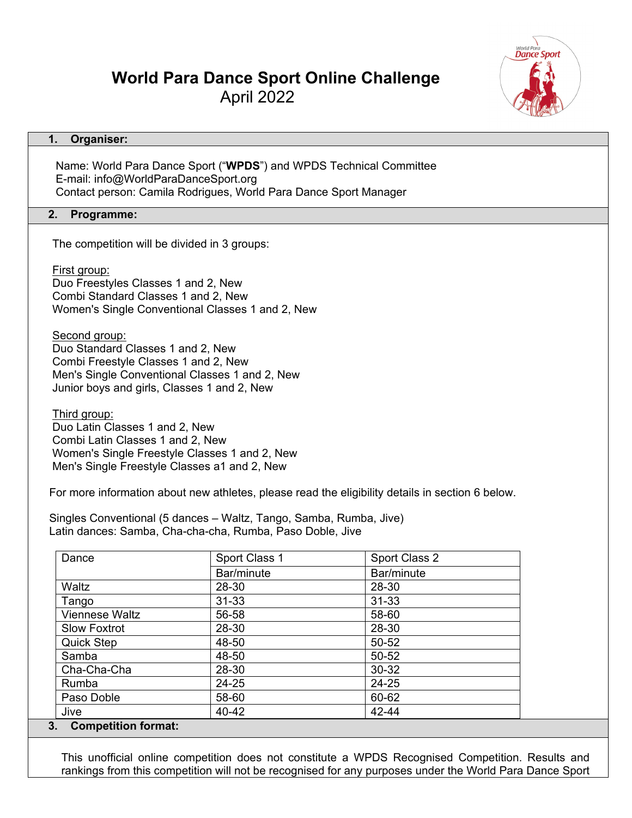# **World Para Dance Sport Online Challenge** April 2022

# **1. Organiser:**

Name: World Para Dance Sport ("**WPDS**") and WPDS Technical Committee E-mail: info@WorldParaDanceSport.org Contact person: Camila Rodrigues, World Para Dance Sport Manager

## **2. Programme:**

The competition will be divided in 3 groups:

First group:

 Duo Freestyles Classes 1 and 2, New Combi Standard Classes 1 and 2, New Women's Single Conventional Classes 1 and 2, New

Second group:

 Duo Standard Classes 1 and 2, New Combi Freestyle Classes 1 and 2, New Men's Single Conventional Classes 1 and 2, New Junior boys and girls, Classes 1 and 2, New

 Third group: Duo Latin Classes 1 and 2, New Combi Latin Classes 1 and 2, New Women's Single Freestyle Classes 1 and 2, New Men's Single Freestyle Classes a1 and 2, New

For more information about new athletes, please read the eligibility details in section 6 below.

 Singles Conventional (5 dances – Waltz, Tango, Samba, Rumba, Jive) Latin dances: Samba, Cha-cha-cha, Rumba, Paso Doble, Jive

| Dance                 | Sport Class 1 | Sport Class 2 |
|-----------------------|---------------|---------------|
|                       | Bar/minute    | Bar/minute    |
| Waltz                 | 28-30         | 28-30         |
| Tango                 | $31 - 33$     | $31 - 33$     |
| <b>Viennese Waltz</b> | 56-58         | 58-60         |
| <b>Slow Foxtrot</b>   | 28-30         | 28-30         |
| <b>Quick Step</b>     | 48-50         | 50-52         |
| Samba                 | 48-50         | 50-52         |
| Cha-Cha-Cha           | 28-30         | 30-32         |
| Rumba                 | 24-25         | 24-25         |
| Paso Doble            | 58-60         | 60-62         |
| Jive                  | 40-42         | 42-44         |

## **3. Competition format:**

This unofficial online competition does not constitute a WPDS Recognised Competition. Results and rankings from this competition will not be recognised for any purposes under the World Para Dance Sport

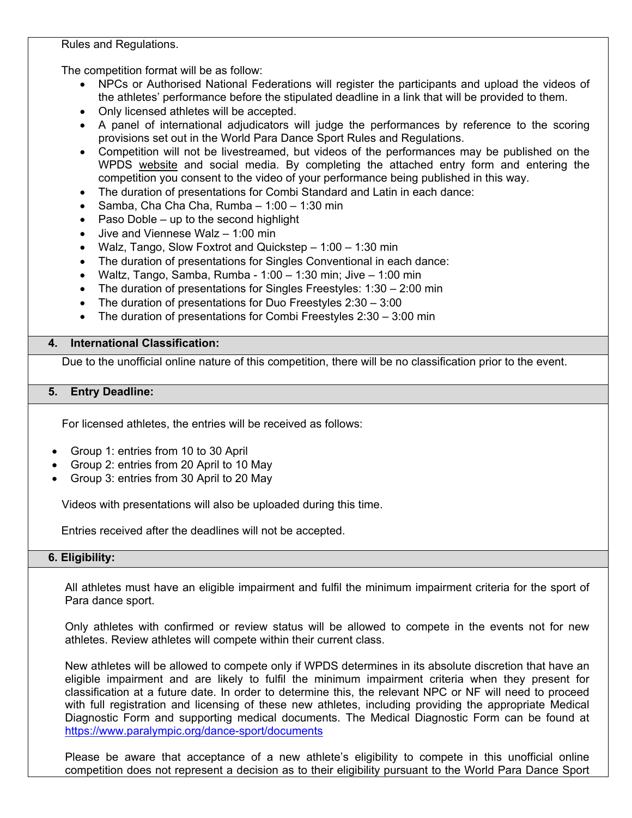Rules and Regulations.

The competition format will be as follow:

- NPCs or Authorised National Federations will register the participants and upload the videos of the athletes' performance before the stipulated deadline in a link that will be provided to them.
- Only licensed athletes will be accepted.
- A panel of international adjudicators will judge the performances by reference to the scoring provisions set out in the World Para Dance Sport Rules and Regulations.
- Competition will not be livestreamed, but videos of the performances may be published on the WPDS [website](https://www.paralympic.org/dance-sport) and social media. By completing the attached entry form and entering the competition you consent to the video of your performance being published in this way.
- The duration of presentations for Combi Standard and Latin in each dance:
- Samba, Cha Cha Cha, Rumba 1:00 1:30 min
- Paso Doble  $-$  up to the second highlight
- Jive and Viennese Walz 1:00 min
- Walz, Tango, Slow Foxtrot and Quickstep 1:00 1:30 min
- The duration of presentations for Singles Conventional in each dance:
- Waltz, Tango, Samba, Rumba 1:00 1:30 min; Jive 1:00 min
- The duration of presentations for Singles Freestyles: 1:30 2:00 min
- The duration of presentations for Duo Freestyles  $2:30 3:00$
- The duration of presentations for Combi Freestyles  $2:30 3:00$  min

# **4. International Classification:**

Due to the unofficial online nature of this competition, there will be no classification prior to the event.

## **5. Entry Deadline:**

For licensed athletes, the entries will be received as follows:

- Group 1: entries from 10 to 30 April
- Group 2: entries from 20 April to 10 May
- Group 3: entries from 30 April to 20 May

Videos with presentations will also be uploaded during this time.

Entries received after the deadlines will not be accepted.

# **6. Eligibility:**

All athletes must have an eligible impairment and fulfil the minimum impairment criteria for the sport of Para dance sport.

Only athletes with confirmed or review status will be allowed to compete in the events not for new athletes. Review athletes will compete within their current class.

New athletes will be allowed to compete only if WPDS determines in its absolute discretion that have an eligible impairment and are likely to fulfil the minimum impairment criteria when they present for classification at a future date. In order to determine this, the relevant NPC or NF will need to proceed with full registration and licensing of these new athletes, including providing the appropriate Medical Diagnostic Form and supporting medical documents. The Medical Diagnostic Form can be found at <https://www.paralympic.org/dance-sport/documents>

Please be aware that acceptance of a new athlete's eligibility to compete in this unofficial online competition does not represent a decision as to their eligibility pursuant to the World Para Dance Sport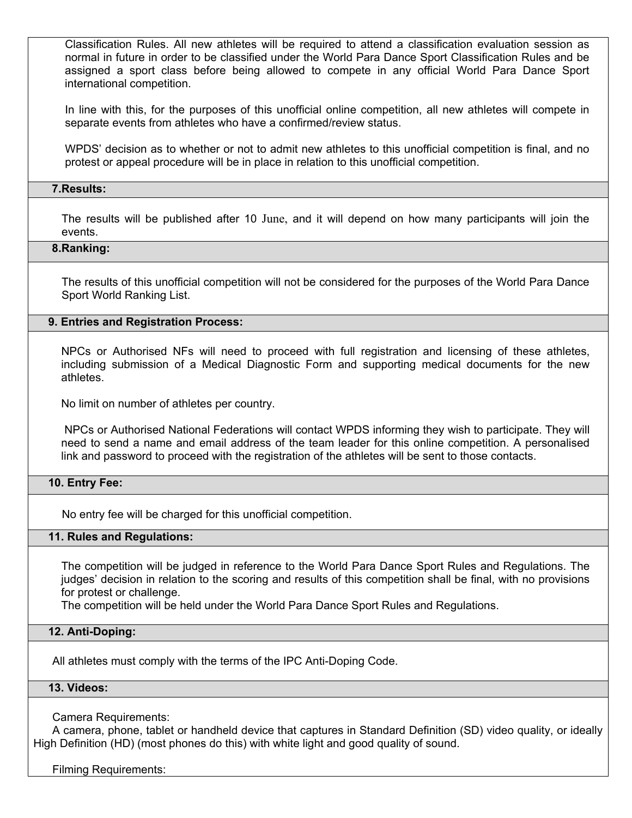Classification Rules. All new athletes will be required to attend a classification evaluation session as normal in future in order to be classified under the World Para Dance Sport Classification Rules and be assigned a sport class before being allowed to compete in any official World Para Dance Sport international competition.

In line with this, for the purposes of this unofficial online competition, all new athletes will compete in separate events from athletes who have a confirmed/review status.

WPDS' decision as to whether or not to admit new athletes to this unofficial competition is final, and no protest or appeal procedure will be in place in relation to this unofficial competition.

## **7.Results:**

The results will be published after 10 June, and it will depend on how many participants will join the events.

#### **8.Ranking:**

The results of this unofficial competition will not be considered for the purposes of the World Para Dance Sport World Ranking List.

#### **9. Entries and Registration Process:**

NPCs or Authorised NFs will need to proceed with full registration and licensing of these athletes, including submission of a Medical Diagnostic Form and supporting medical documents for the new athletes.

No limit on number of athletes per country.

NPCs or Authorised National Federations will contact WPDS informing they wish to participate. They will need to send a name and email address of the team leader for this online competition. A personalised link and password to proceed with the registration of the athletes will be sent to those contacts.

#### **10. Entry Fee:**

No entry fee will be charged for this unofficial competition.

#### **11. Rules and Regulations:**

The competition will be judged in reference to the World Para Dance Sport Rules and Regulations. The judges' decision in relation to the scoring and results of this competition shall be final, with no provisions for protest or challenge.

The competition will be held under the World Para Dance Sport Rules and Regulations.

#### **12. Anti-Doping:**

All athletes must comply with the terms of the IPC Anti-Doping Code.

# **13. Videos:**

Camera Requirements:

 A camera, phone, tablet or handheld device that captures in Standard Definition (SD) video quality, or ideally High Definition (HD) (most phones do this) with white light and good quality of sound.

Filming Requirements: